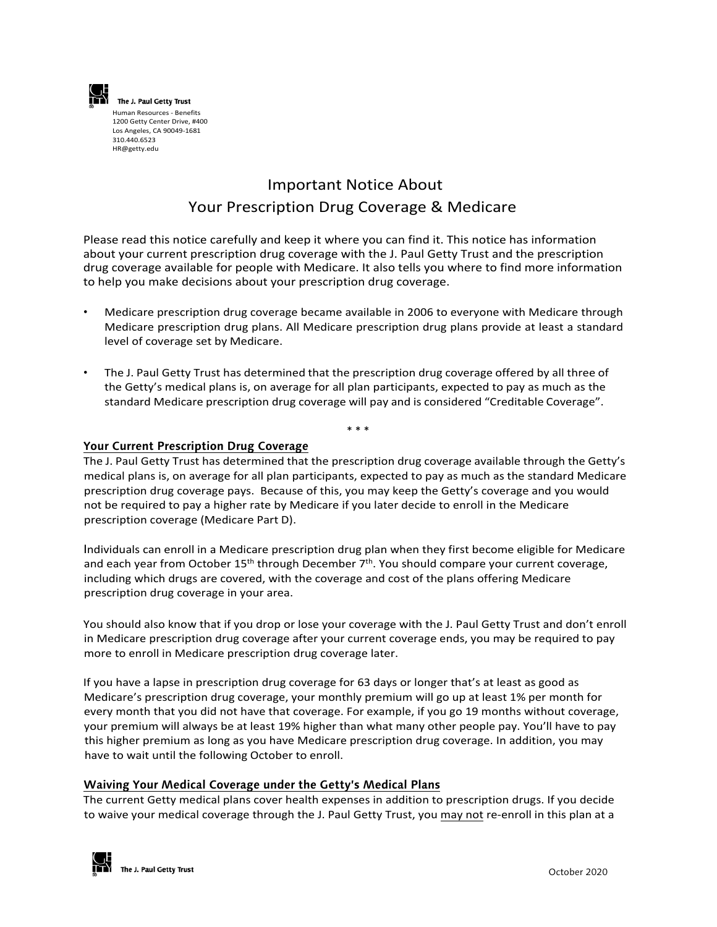

The J. Paul Getty Trust Human Resources - Benefits 1200 Getty Center Drive, #400 Los Angeles, CA 90049-1681 310.440.6523 HR[@getty.edu](mailto:Benefits@getty.edu)

# Important Notice About Your Prescription Drug Coverage & Medicare

Please read this notice carefully and keep it where you can find it. This notice has information about your current prescription drug coverage with the J. Paul Getty Trust and the prescription drug coverage available for people with Medicare. It also tells you where to find more information to help you make decisions about your prescription drug coverage.

- Medicare prescription drug coverage became available in 2006 to everyone with Medicare through Medicare prescription drug plans. All Medicare prescription drug plans provide at least a standard level of coverage set by Medicare.
- The J. Paul Getty Trust has determined that the prescription drug coverage offered by all three of the Getty's medical plans is, on average for all plan participants, expected to pay as much as the standard Medicare prescription drug coverage will pay and is considered "Creditable Coverage".

# \* \* \*

#### **Your Current Prescription Drug Coverage**

The J. Paul Getty Trust has determined that the prescription drug coverage available through the Getty's medical plans is, on average for all plan participants, expected to pay as much as the standard Medicare prescription drug coverage pays. Because of this, you may keep the Getty's coverage and you would not be required to pay a higher rate by Medicare if you later decide to enroll in the Medicare prescription coverage (Medicare Part D).

Individuals can enroll in a Medicare prescription drug plan when they first become eligible for Medicare and each year from October 15<sup>th</sup> through December 7<sup>th</sup>. You should compare your current coverage, including which drugs are covered, with the coverage and cost of the plans offering Medicare prescription drug coverage in your area.

You should also know that if you drop or lose your coverage with the J. Paul Getty Trust and don't enroll in Medicare prescription drug coverage after your current coverage ends, you may be required to pay more to enroll in Medicare prescription drug coverage later.

If you have a lapse in prescription drug coverage for 63 days or longer that's at least as good as Medicare's prescription drug coverage, your monthly premium will go up at least 1% per month for every month that you did not have that coverage. For example, if you go 19 months without coverage, your premium will always be at least 19% higher than what many other people pay. You'll have to pay this higher premium as long as you have Medicare prescription drug coverage. In addition, you may have to wait until the following October to enroll.

## **Waiving Your Medical Coverage under the Getty's Medical Plans**

The current Getty medical plans cover health expenses in addition to prescription drugs. If you decide to waive your medical coverage through the J. Paul Getty Trust, you may not re-enroll in this plan at a